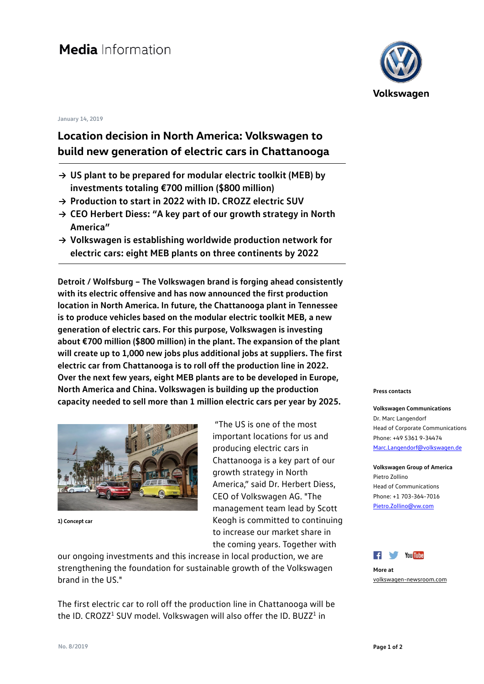## **January 14, 2019**

## **Location decision in North America: Volkswagen to build new generation of electric cars in Chattanooga**

- **→ US plant to be prepared for modular electric toolkit (MEB) by investments totaling €700 million (\$800 million)**
- **→ Production to start in 2022 with ID. CROZZ electric SUV**
- **→ CEO Herbert Diess: "A key part of our growth strategy in North America"**
- **→ Volkswagen is establishing worldwide production network for electric cars: eight MEB plants on three continents by 2022**

**Detroit / Wolfsburg – The Volkswagen brand is forging ahead consistently with its electric offensive and has now announced the first production location in North America. In future, the Chattanooga plant in Tennessee is to produce vehicles based on the modular electric toolkit MEB, a new generation of electric cars. For this purpose, Volkswagen is investing about €700 million (\$800 million) in the plant. The expansion of the plant will create up to 1,000 new jobs plus additional jobs at suppliers. The first electric car from Chattanooga is to roll off the production line in 2022. Over the next few years, eight MEB plants are to be developed in Europe, North America and China. Volkswagen is building up the production capacity needed to sell more than 1 million electric cars per year by 2025.**



**1) Concept car**

"The US is one of the most important locations for us and producing electric cars in Chattanooga is a key part of our growth strategy in North America," said Dr. Herbert Diess, CEO of Volkswagen AG. "The management team lead by Scott Keogh is committed to continuing to increase our market share in the coming years. Together with

our ongoing investments and this increase in local production, we are strengthening the foundation for sustainable growth of the Volkswagen brand in the US."

The first electric car to roll off the production line in Chattanooga will be the ID. CROZZ<sup>1</sup> SUV model. Volkswagen will also offer the ID. BUZZ<sup>1</sup> in



## **Press contacts**

**Volkswagen Communications** Dr. Marc Langendorf Head of Corporate Communications Phone: +49 5361 9-34474 Marc.Langendorf@volkswagen.de

**Volkswagen Group of America** Pietro Zollino Head of Communications Phone: +1 703-364-7016 [Pietro.Zollino@vw.com](mailto:Leslie.Bothge@volkswagen.de)



**More at** [volkswagen-newsroom.com](https://www.volkswagen-media-services.com/)